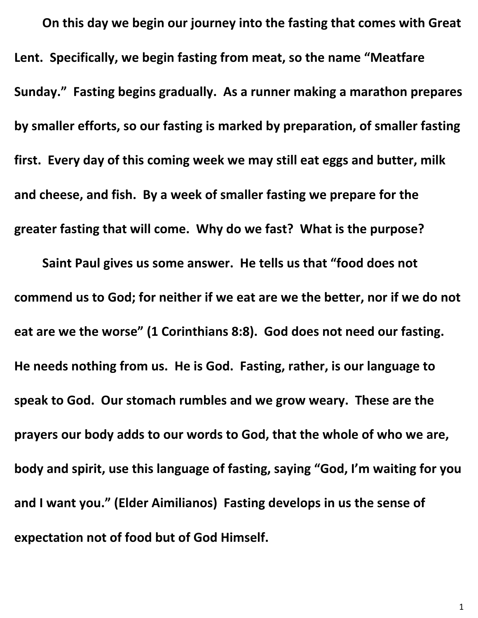**On this day we begin our journey into the fasting that comes with Great Lent. Specifically, we begin fasting from meat, so the name "Meatfare Sunday." Fasting begins gradually. As a runner making a marathon prepares by smaller efforts, so our fasting is marked by preparation, of smaller fasting first. Every day of this coming week we may still eat eggs and butter, milk and cheese, and fish. By a week of smaller fasting we prepare for the greater fasting that will come. Why do we fast? What is the purpose?**

**Saint Paul gives us some answer. He tells us that "food does not commend us to God; for neither if we eat are we the better, nor if we do not eat are we the worse" (1 Corinthians 8:8). God does not need our fasting. He needs nothing from us. He is God. Fasting, rather, is our language to speak to God. Our stomach rumbles and we grow weary. These are the prayers our body adds to our words to God, that the whole of who we are, body and spirit, use this language of fasting, saying "God, I'm waiting for you and I want you." (Elder Aimilianos) Fasting develops in us the sense of expectation not of food but of God Himself.**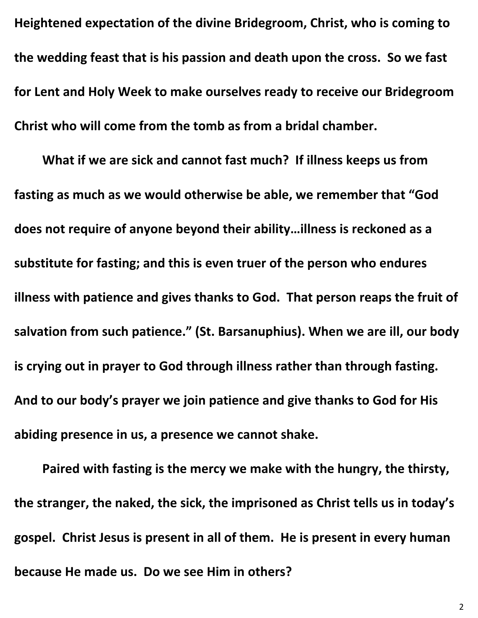**Heightened expectation of the divine Bridegroom, Christ, who is coming to the wedding feast that is his passion and death upon the cross. So we fast for Lent and Holy Week to make ourselves ready to receive our Bridegroom Christ who will come from the tomb as from a bridal chamber.**

**What if we are sick and cannot fast much? If illness keeps us from fasting as much as we would otherwise be able, we remember that "God does not require of anyone beyond their ability…illness is reckoned as a substitute for fasting; and this is even truer of the person who endures illness with patience and gives thanks to God. That person reaps the fruit of salvation from such patience." (St. Barsanuphius). When we are ill, our body is crying out in prayer to God through illness rather than through fasting. And to our body's prayer we join patience and give thanks to God for His abiding presence in us, a presence we cannot shake.**

**Paired with fasting is the mercy we make with the hungry, the thirsty, the stranger, the naked, the sick, the imprisoned as Christ tells us in today's gospel. Christ Jesus is present in all of them. He is present in every human because He made us. Do we see Him in others?**